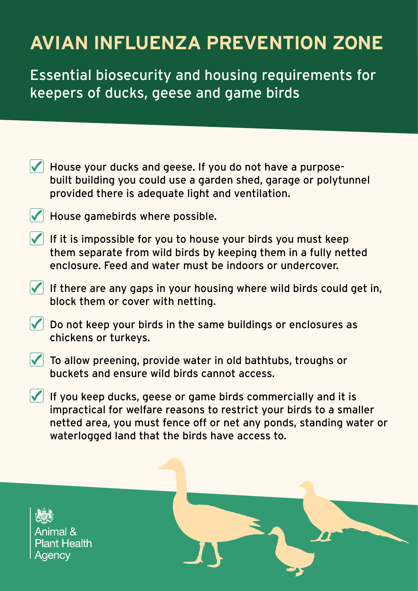## **AVIAN INFLUENZA PREVENTION ZONE**

Essential biosecurity and housing requirements for keepers of ducks, geese and game birds

- $\blacktriangleright$  House your ducks and geese. If you do not have a purposebuilt building you could use a garden shed, garage or polytunnel provided there is adequate light and ventilation.
- $\blacktriangleright$  House gamebirds where possible.
- $\sqrt{\phantom{a}}$  If it is impossible for you to house your birds you must keep them separate from wild birds by keeping them in a fully netted enclosure. Feed and water must be indoors or undercover.
- $\sqrt{\phantom{a}}$  If there are any gaps in your housing where wild birds could get in, block them or cover with netting.
- $\sqrt{\phantom{a}}$  Do not keep your birds in the same buildings or enclosures as chickens or turkeys.
- $\sqrt{\phantom{a}}$  To allow preening, provide water in old bathtubs, troughs or buckets and ensure wild birds cannot access.
- $\sqrt{\phantom{a}}$  If you keep ducks, geese or game birds commercially and it is impractical for welfare reasons to restrict your birds to a smaller netted area, you must fence off or net any ponds, standing water or waterlogged land that the birds have access to.

**Animal & Plant Health** Aaencv